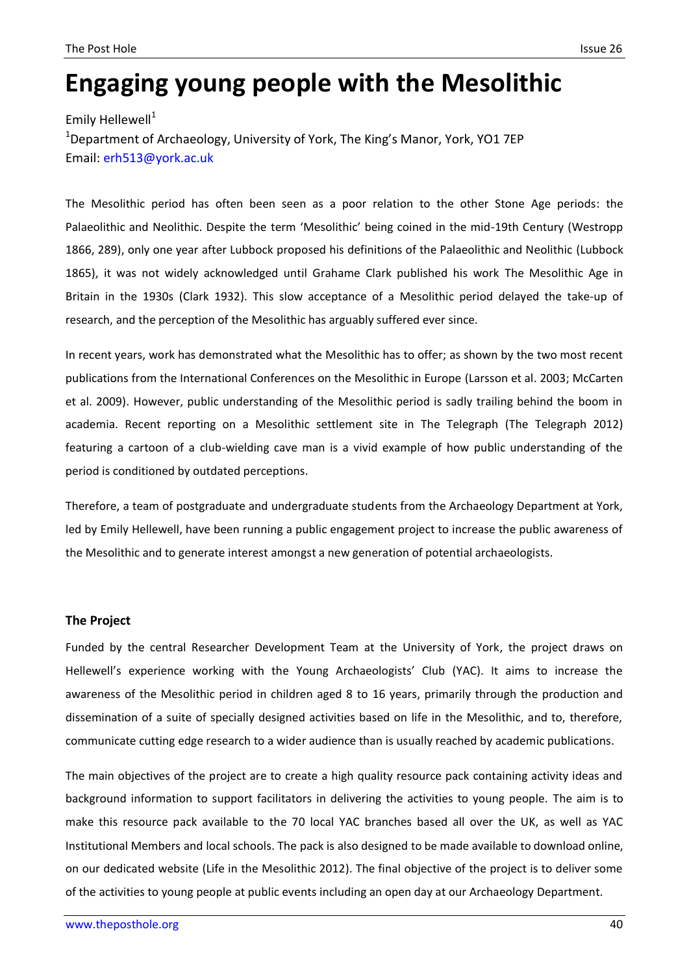# **Engaging young people with the Mesolithic**

Emily Hellewell $1$ <sup>1</sup>Department of Archaeology, University of York, The King's Manor, York, YO1 7EP Email: [erh513@york.ac.uk](mailto:erh513@york.ac.uk)

The Mesolithic period has often been seen as a poor relation to the other Stone Age periods: the Palaeolithic and Neolithic. Despite the term 'Mesolithic' being coined in the mid-19th Century [\(Westropp](#page-5-0)  [1866, 289\)](#page-5-0), only one year after Lubbock proposed his definitions of the Palaeolithic and Neolithic (Lubbock 1865), it was not widely acknowledged until Grahame Clark published his work The Mesolithic Age in Britain in the 1930s (Clark 1932). This slow acceptance of a Mesolithic period delayed the take-up of research, and the perception of the Mesolithic has arguably suffered ever since.

In recent years, work has demonstrated what the Mesolithic has to offer; as shown by the two most recent publications from the International Conferences on the Mesolithic in Europe (Larsson et al. 2003; McCarten et al. 2009). However, public understanding of the Mesolithic period is sadly trailing behind the boom in academia. Recent reporting on a Mesolithic settlement site in The Telegraph [\(The Telegraph 2012\)](#page-5-1) featuring a cartoon of a club-wielding cave man is a vivid example of how public understanding of the period is conditioned by outdated perceptions.

Therefore, a team of postgraduate and undergraduate students from the Archaeology Department at York, led by Emily Hellewell, have been running a public engagement project to increase the public awareness of the Mesolithic and to generate interest amongst a new generation of potential archaeologists.

# **The Project**

Funded by the central Researcher Development Team at the University of York, the project draws on Hellewell's experience working with the Young Archaeologists' Club (YAC). It aims to increase the awareness of the Mesolithic period in children aged 8 to 16 years, primarily through the production and dissemination of a suite of specially designed activities based on life in the Mesolithic, and to, therefore, communicate cutting edge research to a wider audience than is usually reached by academic publications.

The main objectives of the project are to create a high quality resource pack containing activity ideas and background information to support facilitators in delivering the activities to young people. The aim is to make this resource pack available to the 70 local YAC branches based all over the UK, as well as YAC Institutional Members and local schools. The pack is also designed to be made available to download online, on our dedicated website (Life in the Mesolithic 2012). The final objective of the project is to deliver some of the activities to young people at public events including an open day at our Archaeology Department.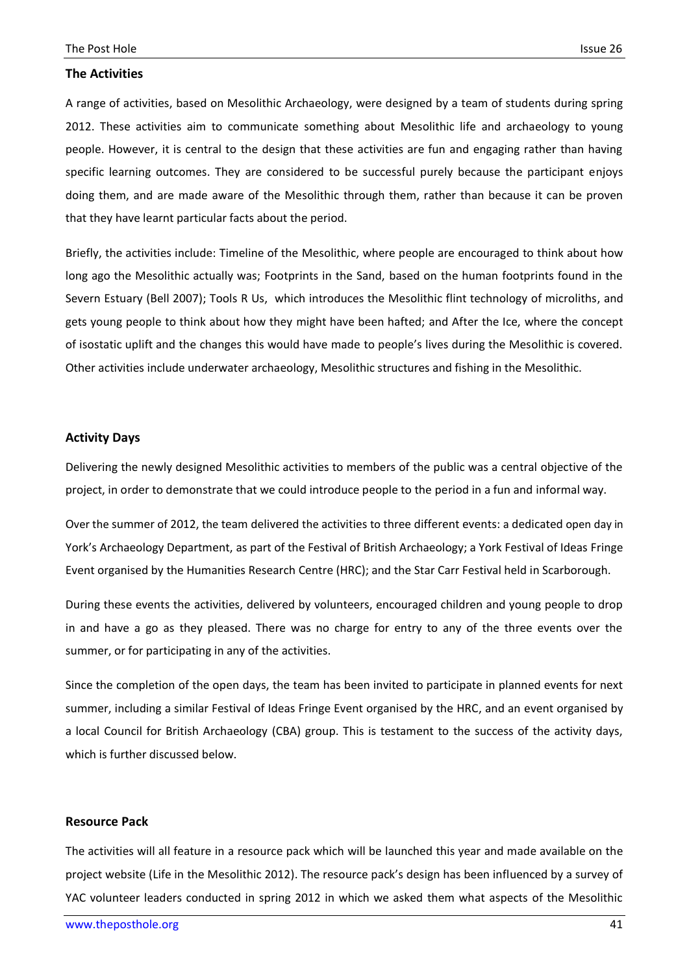#### **The Activities**

A range of activities, based on Mesolithic Archaeology, were designed by a team of students during spring 2012. These activities aim to communicate something about Mesolithic life and archaeology to young people. However, it is central to the design that these activities are fun and engaging rather than having specific learning outcomes. They are considered to be successful purely because the participant enjoys doing them, and are made aware of the Mesolithic through them, rather than because it can be proven that they have learnt particular facts about the period.

Briefly, the activities include: Timeline of the Mesolithic, where people are encouraged to think about how long ago the Mesolithic actually was; Footprints in the Sand, based on the human footprints found in the Severn Estuary (Bell 2007); Tools R Us, which introduces the Mesolithic flint technology of microliths, and gets young people to think about how they might have been hafted; and After the Ice, where the concept of isostatic uplift and the changes this would have made to people's lives during the Mesolithic is covered. Other activities include underwater archaeology, Mesolithic structures and fishing in the Mesolithic.

#### **Activity Days**

Delivering the newly designed Mesolithic activities to members of the public was a central objective of the project, in order to demonstrate that we could introduce people to the period in a fun and informal way.

Over the summer of 2012, the team delivered the activities to three different events: a dedicated open day in York's Archaeology Department, as part of the Festival of British Archaeology; a York Festival of Ideas Fringe Event organised by the Humanities Research Centre (HRC); and the Star Carr Festival held in Scarborough.

During these events the activities, delivered by volunteers, encouraged children and young people to drop in and have a go as they pleased. There was no charge for entry to any of the three events over the summer, or for participating in any of the activities.

Since the completion of the open days, the team has been invited to participate in planned events for next summer, including a similar Festival of Ideas Fringe Event organised by the HRC, and an event organised by a local Council for British Archaeology (CBA) group. This is testament to the success of the activity days, which is further discussed below.

#### **Resource Pack**

The activities will all feature in a resource pack which will be launched this year and made available on the project website (Life in the Mesolithic 2012). The resource pack's design has been influenced by a survey of YAC volunteer leaders conducted in spring 2012 in which we asked them what aspects of the Mesolithic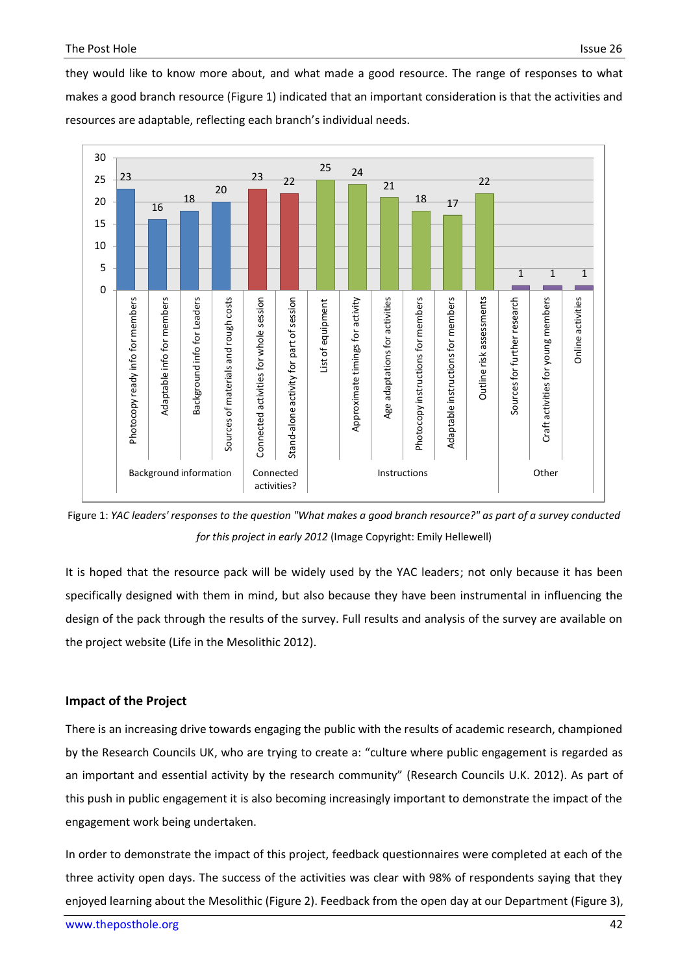they would like to know more about, and what made a good resource. The range of responses to what makes a good branch resource [\(Figure 1](#page-2-0)) indicated that an important consideration is that the activities and resources are adaptable, reflecting each branch's individual needs.



<span id="page-2-0"></span>Figure 1: *YAC leaders' responses to the question "What makes a good branch resource?" as part of a survey conducted for this project in early 2012* (Image Copyright: Emily Hellewell)

It is hoped that the resource pack will be widely used by the YAC leaders; not only because it has been specifically designed with them in mind, but also because they have been instrumental in influencing the design of the pack through the results of the survey. Full results and analysis of the survey are available on the project website (Life in the Mesolithic 2012).

## **Impact of the Project**

There is an increasing drive towards engaging the public with the results of academic research, championed by the Research Councils UK, who are trying to create a: "culture where public engagement is regarded as an important and essential activity by the research community" [\(Research Councils U.K. 2012\)](#page-5-2). As part of this push in public engagement it is also becoming increasingly important to demonstrate the impact of the engagement work being undertaken.

In order to demonstrate the impact of this project, feedback questionnaires were completed at each of the three activity open days. The success of the activities was clear with 98% of respondents saying that they enjoyed learning about the Mesolithic [\(Figure 2](#page-3-0)). Feedback from the open day at our Department [\(Figure 3](#page-3-1)),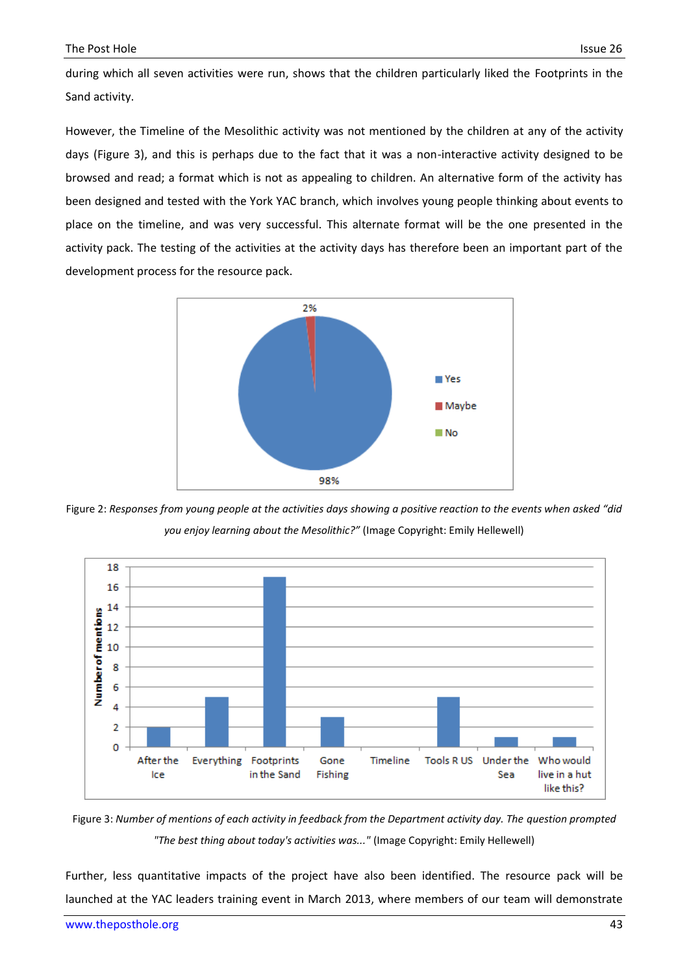during which all seven activities were run, shows that the children particularly liked the Footprints in the Sand activity.

However, the Timeline of the Mesolithic activity was not mentioned by the children at any of the activity days [\(Figure 3](#page-3-1)), and this is perhaps due to the fact that it was a non-interactive activity designed to be browsed and read; a format which is not as appealing to children. An alternative form of the activity has been designed and tested with the York YAC branch, which involves young people thinking about events to place on the timeline, and was very successful. This alternate format will be the one presented in the activity pack. The testing of the activities at the activity days has therefore been an important part of the development process for the resource pack.



<span id="page-3-0"></span>Figure 2: *Responses from young people at the activities days showing a positive reaction to the events when asked "did you enjoy learning about the Mesolithic?"* (Image Copyright: Emily Hellewell)



<span id="page-3-1"></span>Figure 3: *Number of mentions of each activity in feedback from the Department activity day. The question prompted "The best thing about today's activities was..."* (Image Copyright: Emily Hellewell)

Further, less quantitative impacts of the project have also been identified. The resource pack will be launched at the YAC leaders training event in March 2013, where members of our team will demonstrate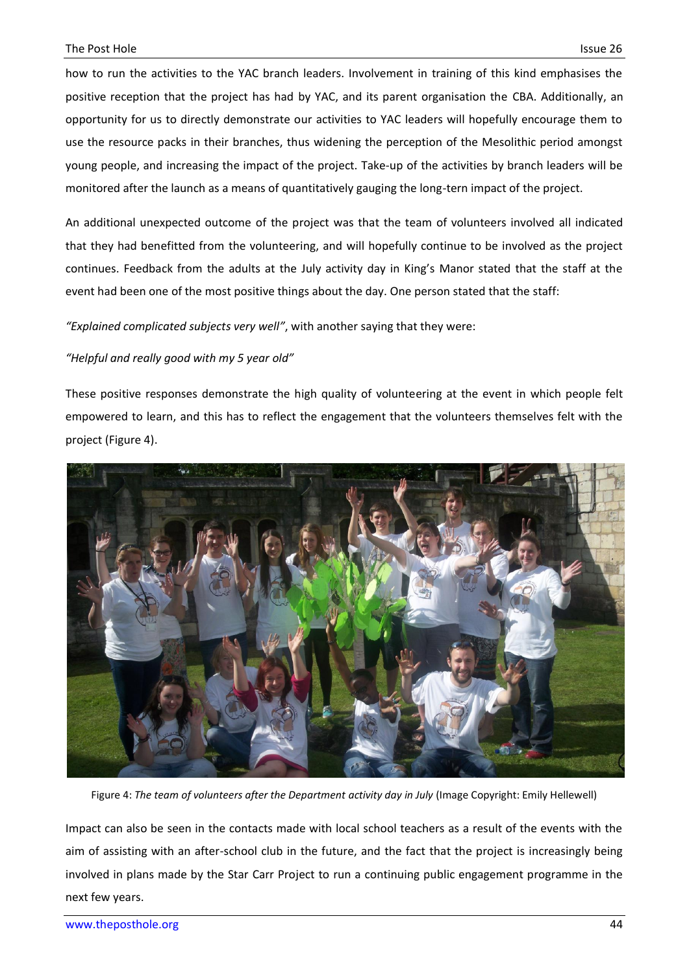how to run the activities to the YAC branch leaders. Involvement in training of this kind emphasises the positive reception that the project has had by YAC, and its parent organisation the CBA. Additionally, an opportunity for us to directly demonstrate our activities to YAC leaders will hopefully encourage them to use the resource packs in their branches, thus widening the perception of the Mesolithic period amongst young people, and increasing the impact of the project. Take-up of the activities by branch leaders will be monitored after the launch as a means of quantitatively gauging the long-tern impact of the project.

An additional unexpected outcome of the project was that the team of volunteers involved all indicated that they had benefitted from the volunteering, and will hopefully continue to be involved as the project continues. Feedback from the adults at the July activity day in King's Manor stated that the staff at the event had been one of the most positive things about the day. One person stated that the staff:

*"Explained complicated subjects very well"*, with another saying that they were:

#### *"Helpful and really good with my 5 year old"*

These positive responses demonstrate the high quality of volunteering at the event in which people felt empowered to learn, and this has to reflect the engagement that the volunteers themselves felt with the project (Figure 4).



Figure 4: *The team of volunteers after the Department activity day in July* (Image Copyright: Emily Hellewell)

Impact can also be seen in the contacts made with local school teachers as a result of the events with the aim of assisting with an after-school club in the future, and the fact that the project is increasingly being involved in plans made by the Star Carr Project to run a continuing public engagement programme in the next few years.